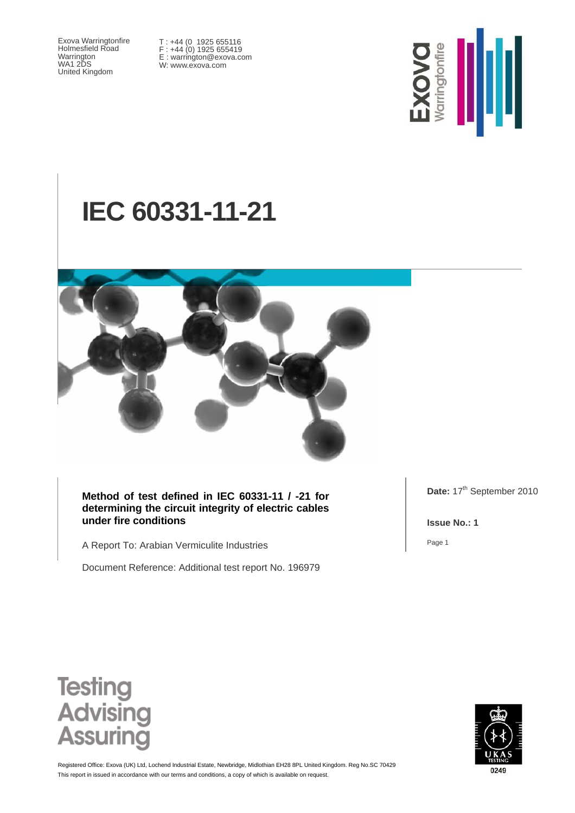Exova Warringtonfire Holmesfield Road Warrington WA1 2DS United Kingdom

T : +44 (0 1925 655116 F : +44 (0) 1925 655419 E : warrington@exova.com W: www.exova.com



# **IEC 60331-11-21**



**Method of test defined in IEC 60331-11 / -21 for determining the circuit integrity of electric cables under fire conditions** 

A Report To: Arabian Vermiculite Industries

Document Reference: Additional test report No. 196979

Date: 17<sup>th</sup> September 2010

**Issue No.: 1** 

Page 1





This report in issued in accordance with our terms and conditions, a copy of which is available on request. Registered Office: Exova (UK) Ltd, Lochend Industrial Estate, Newbridge, Midlothian EH28 8PL United Kingdom. Reg No.SC 70429

0249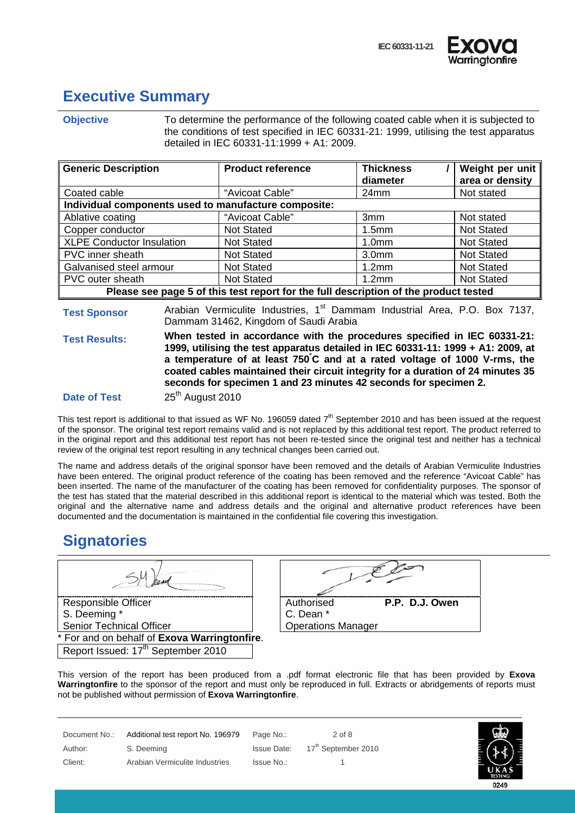

#### **Executive Summary**

**Objective** To determine the performance of the following coated cable when it is subjected to the conditions of test specified in IEC 60331-21: 1999, utilising the test apparatus detailed in IEC 60331-11:1999 + A1: 2009.

| <b>Generic Description</b>                                                           | <b>Product reference</b> | <b>Thickness</b><br>diameter | Weight per unit<br>area or density |
|--------------------------------------------------------------------------------------|--------------------------|------------------------------|------------------------------------|
| Coated cable                                                                         | "Avicoat Cable"          | 24mm                         | Not stated                         |
| Individual components used to manufacture composite:                                 |                          |                              |                                    |
| Ablative coating                                                                     | "Avicoat Cable"          | 3mm                          | Not stated                         |
| Copper conductor                                                                     | <b>Not Stated</b>        | 1.5 <sub>mm</sub>            | <b>Not Stated</b>                  |
| <b>XLPE Conductor Insulation</b>                                                     | <b>Not Stated</b>        | 1.0 <sub>mm</sub>            | <b>Not Stated</b>                  |
| PVC inner sheath                                                                     | <b>Not Stated</b>        | 3.0 <sub>mm</sub>            | <b>Not Stated</b>                  |
| Galvanised steel armour                                                              | <b>Not Stated</b>        | 1.2 <sub>mm</sub>            | <b>Not Stated</b>                  |
| PVC outer sheath                                                                     | <b>Not Stated</b>        | 1.2 <sub>mm</sub>            | <b>Not Stated</b>                  |
| Please see page 5 of this test report for the full description of the product tested |                          |                              |                                    |

**Test Sponsor** Arabian Vermiculite Industries, 1<sup>st</sup> Dammam Industrial Area, P.O. Box 7137, Dammam 31462, Kingdom of Saudi Arabia

**Test Results: When tested in accordance with the procedures specified in IEC 60331-21: 1999, utilising the test apparatus detailed in IEC 60331-11: 1999 + A1: 2009, at a temperature of at least 750° C and at a rated voltage of 1000 V-rms, the coated cables maintained their circuit integrity for a duration of 24 minutes 35 seconds for specimen 1 and 23 minutes 42 seconds for specimen 2.**

**Date of Test** 25<sup>th</sup> August 2010

This test report is additional to that issued as WF No. 196059 dated  $7<sup>th</sup>$  September 2010 and has been issued at the request of the sponsor. The original test report remains valid and is not replaced by this additional test report. The product referred to in the original report and this additional test report has not been re-tested since the original test and neither has a technical review of the original test report resulting in any technical changes been carried out.

The name and address details of the original sponsor have been removed and the details of Arabian Vermiculite Industries have been entered. The original product reference of the coating has been removed and the reference "Avicoat Cable" has been inserted. The name of the manufacturer of the coating has been removed for confidentiality purposes. The sponsor of the test has stated that the material described in this additional report is identical to the material which was tested. Both the original and the alternative name and address details and the original and alternative product references have been documented and the documentation is maintained in the confidential file covering this investigation.

#### **Signatories**

Responsible Officer S. Deeming \* Senior Technical Officer For and on behalf of **Exova Warringtonfire**.

Report Issued: 17<sup>th</sup> September 2010

| Authorised                | P.P. D.J. Owen |
|---------------------------|----------------|
| C. Dean *                 |                |
| <b>Operations Manager</b> |                |

This version of the report has been produced from a .pdf format electronic file that has been provided by **Exova Warringtonfire** to the sponsor of the report and must only be reproduced in full. Extracts or abridgements of reports must not be published without permission of **Exova Warringtonfire**.

| Document No.: | Additional test report No. 196979 | Page No.:  | $2$ of 8                        |
|---------------|-----------------------------------|------------|---------------------------------|
| Author:       | S. Deeming                        |            | Issue Date: 17th September 2010 |
| Client:       | Arabian Vermiculite Industries    | Issue No.: |                                 |

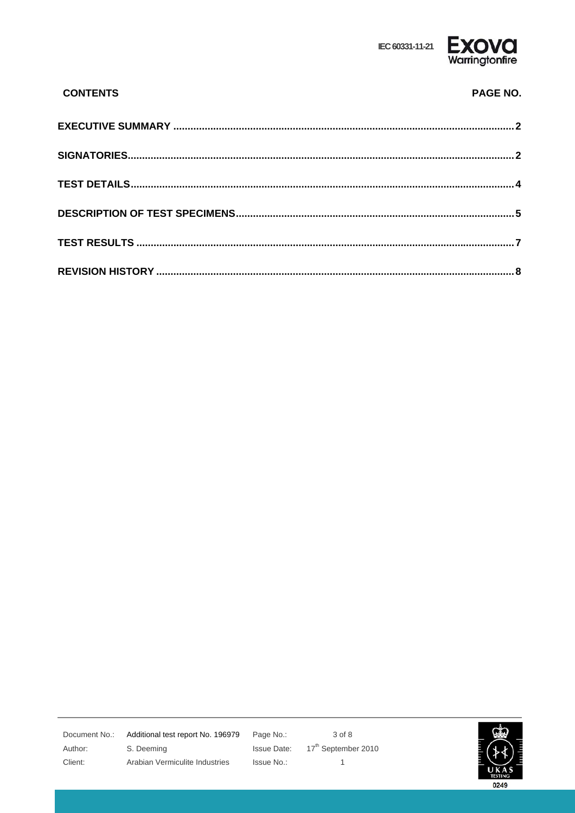

## **CONTENTS** PAGE NO.

Author: Client:

Document No.: Additional test report No. 196979 S. Deeming Arabian Vermiculite Industries

Page No.: **Issue Date:** Issue No.:

3 of 8 17<sup>th</sup> September 2010  $\mathbf{1}$ 

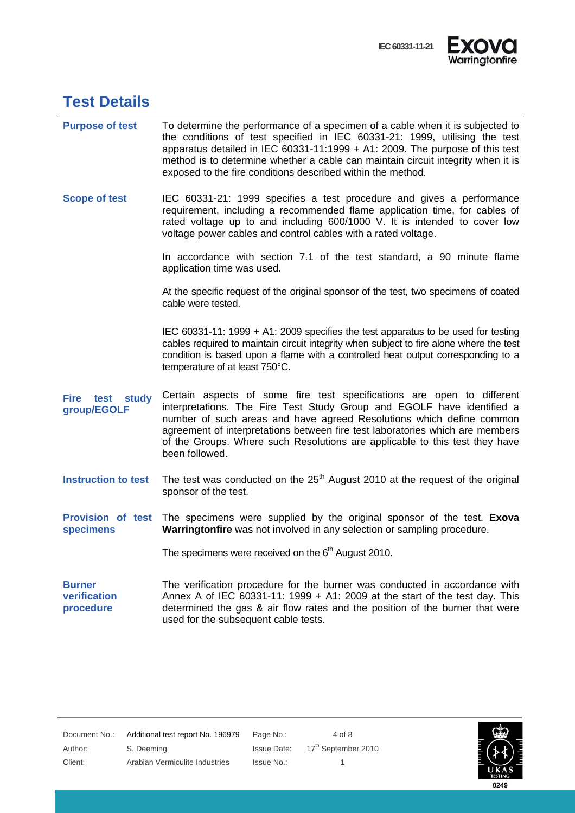

#### **Test Details**

| <b>Purpose of test</b>                       | To determine the performance of a specimen of a cable when it is subjected to<br>the conditions of test specified in IEC 60331-21: 1999, utilising the test<br>apparatus detailed in IEC 60331-11:1999 + A1: 2009. The purpose of this test<br>method is to determine whether a cable can maintain circuit integrity when it is<br>exposed to the fire conditions described within the method.             |
|----------------------------------------------|------------------------------------------------------------------------------------------------------------------------------------------------------------------------------------------------------------------------------------------------------------------------------------------------------------------------------------------------------------------------------------------------------------|
| <b>Scope of test</b>                         | IEC 60331-21: 1999 specifies a test procedure and gives a performance<br>requirement, including a recommended flame application time, for cables of<br>rated voltage up to and including 600/1000 V. It is intended to cover low<br>voltage power cables and control cables with a rated voltage.                                                                                                          |
|                                              | In accordance with section 7.1 of the test standard, a 90 minute flame<br>application time was used.                                                                                                                                                                                                                                                                                                       |
|                                              | At the specific request of the original sponsor of the test, two specimens of coated<br>cable were tested.                                                                                                                                                                                                                                                                                                 |
|                                              | IEC 60331-11: 1999 + A1: 2009 specifies the test apparatus to be used for testing<br>cables required to maintain circuit integrity when subject to fire alone where the test<br>condition is based upon a flame with a controlled heat output corresponding to a<br>temperature of at least 750°C.                                                                                                         |
| Fire<br>test study<br>group/EGOLF            | Certain aspects of some fire test specifications are open to different<br>interpretations. The Fire Test Study Group and EGOLF have identified a<br>number of such areas and have agreed Resolutions which define common<br>agreement of interpretations between fire test laboratories which are members<br>of the Groups. Where such Resolutions are applicable to this test they have<br>been followed. |
| <b>Instruction to test</b>                   | The test was conducted on the $25th$ August 2010 at the request of the original<br>sponsor of the test.                                                                                                                                                                                                                                                                                                    |
| <b>Provision of test</b><br><b>specimens</b> | The specimens were supplied by the original sponsor of the test. Exoval<br>Warringtonfire was not involved in any selection or sampling procedure.                                                                                                                                                                                                                                                         |
|                                              | The specimens were received on the 6 <sup>th</sup> August 2010.                                                                                                                                                                                                                                                                                                                                            |
| <b>Burner</b><br>verification<br>procedure   | The verification procedure for the burner was conducted in accordance with<br>Annex A of IEC 60331-11: 1999 $+$ A1: 2009 at the start of the test day. This<br>determined the gas & air flow rates and the position of the burner that were<br>used for the subsequent cable tests.                                                                                                                        |



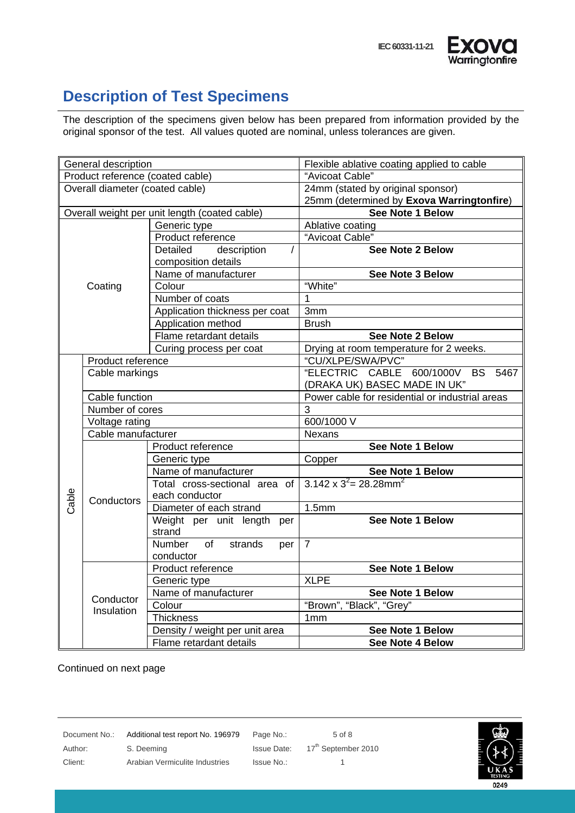

### **Description of Test Specimens**

The description of the specimens given below has been prepared from information provided by the original sponsor of the test. All values quoted are nominal, unless tolerances are given.

| General description                           |                         |                                       | Flexible ablative coating applied to cable      |  |
|-----------------------------------------------|-------------------------|---------------------------------------|-------------------------------------------------|--|
| Product reference (coated cable)              |                         |                                       | "Avicoat Cable"                                 |  |
| Overall diameter (coated cable)               |                         |                                       | 24mm (stated by original sponsor)               |  |
|                                               |                         |                                       | 25mm (determined by Exova Warringtonfire)       |  |
| Overall weight per unit length (coated cable) |                         |                                       | See Note 1 Below                                |  |
|                                               |                         | Generic type                          | Ablative coating                                |  |
|                                               |                         | Product reference                     | "Avicoat Cable"                                 |  |
|                                               |                         | Detailed<br>description               | <b>See Note 2 Below</b>                         |  |
| composition details                           |                         |                                       |                                                 |  |
|                                               |                         | Name of manufacturer                  | See Note 3 Below                                |  |
|                                               | Coating                 | Colour                                | "White"                                         |  |
|                                               |                         | Number of coats                       | 1                                               |  |
|                                               |                         | Application thickness per coat        | 3mm                                             |  |
|                                               |                         | Application method                    | <b>Brush</b>                                    |  |
|                                               |                         | Flame retardant details               | See Note 2 Below                                |  |
|                                               |                         | Curing process per coat               | Drying at room temperature for 2 weeks.         |  |
|                                               | Product reference       |                                       | "CU/XLPE/SWA/PVC"                               |  |
|                                               | Cable markings          |                                       | "ELECTRIC CABLE 600/1000V<br><b>BS</b><br>5467  |  |
|                                               |                         |                                       | (DRAKA UK) BASEC MADE IN UK"                    |  |
|                                               | Cable function          |                                       | Power cable for residential or industrial areas |  |
|                                               | Number of cores         |                                       | 3                                               |  |
|                                               | Voltage rating          |                                       | 600/1000 V                                      |  |
|                                               | Cable manufacturer      |                                       | Nexans                                          |  |
|                                               |                         | Product reference                     | See Note 1 Below                                |  |
|                                               |                         | Generic type                          | Copper                                          |  |
|                                               |                         | Name of manufacturer                  | See Note 1 Below                                |  |
|                                               |                         | Total cross-sectional area of         | $3.142 \times 3^2 = 28.28$ mm <sup>2</sup>      |  |
|                                               | Conductors              | each conductor                        |                                                 |  |
| Cable                                         |                         | Diameter of each strand               | 1.5mm                                           |  |
|                                               |                         | Weight per unit length per            | <b>See Note 1 Below</b>                         |  |
|                                               |                         | strand                                |                                                 |  |
|                                               |                         | of<br><b>Number</b><br>strands<br>per | $\overline{7}$                                  |  |
|                                               |                         | conductor                             |                                                 |  |
|                                               |                         | Product reference                     | See Note 1 Below                                |  |
|                                               | Conductor<br>Insulation | Generic type                          | <b>XLPE</b>                                     |  |
|                                               |                         | Name of manufacturer                  | <b>See Note 1 Below</b>                         |  |
|                                               |                         | Colour                                | "Brown", "Black", "Grey"                        |  |
|                                               |                         | <b>Thickness</b>                      | 1 <sub>mm</sub>                                 |  |
|                                               |                         | Density / weight per unit area        | See Note 1 Below                                |  |
|                                               | Flame retardant details | See Note 4 Below                      |                                                 |  |

Continued on next page

Document No.: Additional test report No. 196979 Page No.: 5 of 8 Author: S. Deeming S. Deeming Issue Date: 17<sup>th</sup> September 2010 Client: Arabian Vermiculite Industries Issue No.: 1

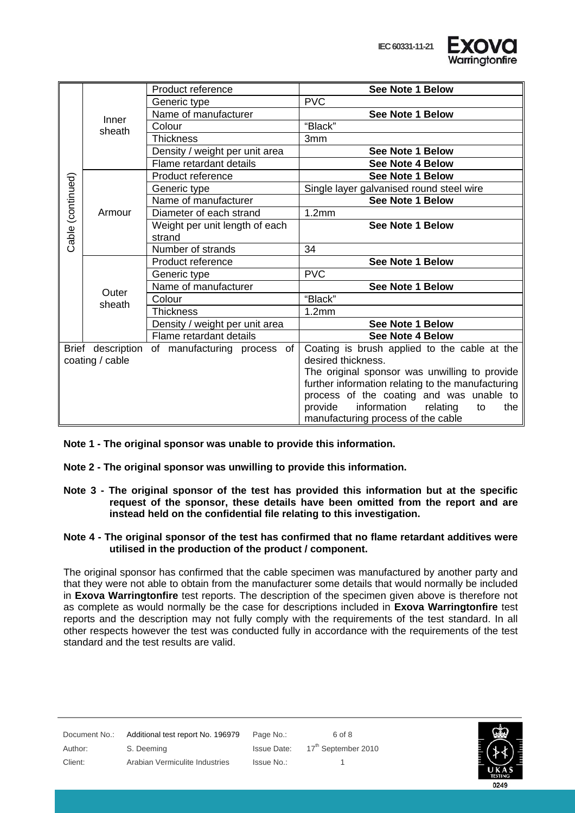

|                   |                   | Product reference              | <b>See Note 1 Below</b>                           |
|-------------------|-------------------|--------------------------------|---------------------------------------------------|
|                   |                   | Generic type                   | <b>PVC</b>                                        |
|                   | Inner             | Name of manufacturer           | See Note 1 Below                                  |
|                   | sheath            | Colour                         | "Black"                                           |
|                   |                   | <b>Thickness</b>               | 3 <sub>mm</sub>                                   |
|                   |                   | Density / weight per unit area | <b>See Note 1 Below</b>                           |
|                   |                   | Flame retardant details        | See Note 4 Below                                  |
|                   |                   | Product reference              | <b>See Note 1 Below</b>                           |
| Cable (continued) |                   | Generic type                   | Single layer galvanised round steel wire          |
|                   |                   | Name of manufacturer           | <b>See Note 1 Below</b>                           |
|                   | Armour            | Diameter of each strand        | 1.2mm                                             |
|                   |                   | Weight per unit length of each | <b>See Note 1 Below</b>                           |
|                   |                   | strand                         |                                                   |
|                   |                   | Number of strands              | 34                                                |
|                   | Outer             | Product reference              | See Note 1 Below                                  |
|                   |                   | Generic type                   | <b>PVC</b>                                        |
|                   |                   | Name of manufacturer           | See Note 1 Below                                  |
|                   | sheath            | Colour                         | "Black"                                           |
|                   |                   | Thickness                      | 1.2mm                                             |
|                   |                   | Density / weight per unit area | See Note 1 Below                                  |
|                   |                   | Flame retardant details        | See Note 4 Below                                  |
|                   | Brief description | of manufacturing process of    | Coating is brush applied to the cable at the      |
| coating / cable   |                   |                                | desired thickness.                                |
|                   |                   |                                | The original sponsor was unwilling to provide     |
|                   |                   |                                | further information relating to the manufacturing |
|                   |                   |                                | process of the coating and was unable to          |
|                   |                   |                                | information<br>provide<br>relating<br>to<br>the   |
|                   |                   |                                | manufacturing process of the cable                |

**Note 1 - The original sponsor was unable to provide this information.** 

- **Note 2 The original sponsor was unwilling to provide this information.**
- **Note 3 The original sponsor of the test has provided this information but at the specific request of the sponsor, these details have been omitted from the report and are instead held on the confidential file relating to this investigation.**

#### **Note 4 - The original sponsor of the test has confirmed that no flame retardant additives were utilised in the production of the product / component.**

The original sponsor has confirmed that the cable specimen was manufactured by another party and that they were not able to obtain from the manufacturer some details that would normally be included in **Exova Warringtonfire** test reports. The description of the specimen given above is therefore not as complete as would normally be the case for descriptions included in **Exova Warringtonfire** test reports and the description may not fully comply with the requirements of the test standard. In all other respects however the test was conducted fully in accordance with the requirements of the test standard and the test results are valid.

| Document No.: | Additional test report No. 196979 | Page No.:  | 6 of 8                          |
|---------------|-----------------------------------|------------|---------------------------------|
| Author:       | S. Deeming                        |            | Issue Date: 17th September 2010 |
| Client:       | Arabian Vermiculite Industries    | Issue No.: |                                 |
|               |                                   |            |                                 |

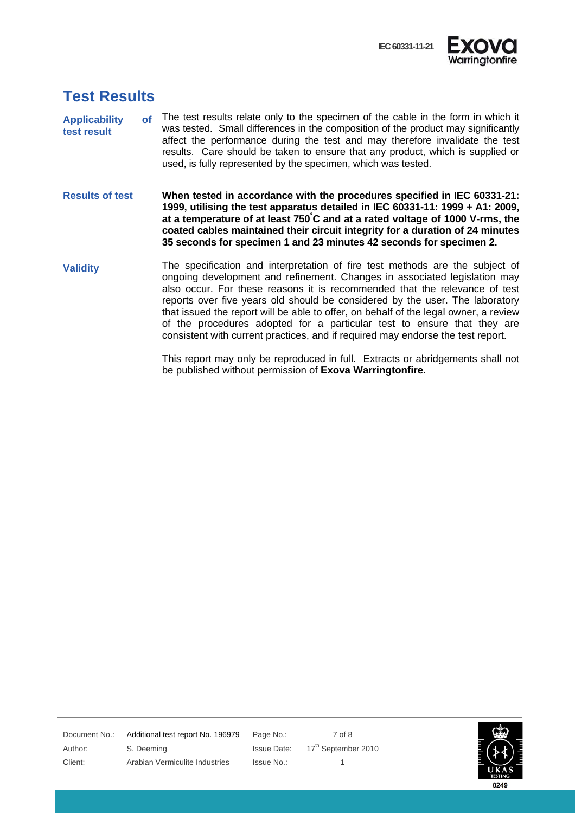

#### **Test Results**

- **Applicability of test result**  The test results relate only to the specimen of the cable in the form in which it was tested. Small differences in the composition of the product may significantly affect the performance during the test and may therefore invalidate the test results. Care should be taken to ensure that any product, which is supplied or used, is fully represented by the specimen, which was tested.
- **Results of test When tested in accordance with the procedures specified in IEC 60331-21: 1999, utilising the test apparatus detailed in IEC 60331-11: 1999 + A1: 2009, at a temperature of at least 750° C and at a rated voltage of 1000 V-rms, the coated cables maintained their circuit integrity for a duration of 24 minutes 35 seconds for specimen 1 and 23 minutes 42 seconds for specimen 2.**
- **Validity** The specification and interpretation of fire test methods are the subject of ongoing development and refinement. Changes in associated legislation may also occur. For these reasons it is recommended that the relevance of test reports over five years old should be considered by the user. The laboratory that issued the report will be able to offer, on behalf of the legal owner, a review of the procedures adopted for a particular test to ensure that they are consistent with current practices, and if required may endorse the test report.

This report may only be reproduced in full. Extracts or abridgements shall not be published without permission of **Exova Warringtonfire**.

Document No.: Additional test report No. 196979 Page No.: 7 of 8 Author: S. Deeming Issue Date: 17th September 2010 Client: Arabian Vermiculite Industries Issue No.: 1